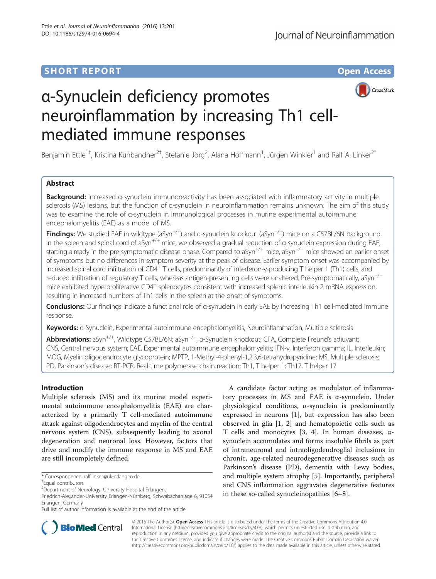## **SHORT REPORT CONTRACT CONTRACT CONTRACT CONTRACT CONTRACT CONTRACT CONTRACT CONTRACT CONTRACT CONTRACT CONTRACT CONTRACT CONTRACT CONTRACT CONTRACT CONTRACT CONTRACT CONTRACT CONTRACT CONTRACT CONTRACT CONTRACT CONTRACT C**



# α-Synuclein deficiency promotes neuroinflammation by increasing Th1 cellmediated immune responses

Benjamin Ettle<sup>1+</sup>, Kristina Kuhbandner<sup>2†</sup>, Stefanie Jörg<sup>2</sup>, Alana Hoffmann<sup>1</sup>, Jürgen Winkler<sup>1</sup> and Ralf A. Linker<sup>2\*</sup>

## Abstract

Background: Increased a-synuclein immunoreactivity has been associated with inflammatory activity in multiple sclerosis (MS) lesions, but the function of α-synuclein in neuroinflammation remains unknown. The aim of this study was to examine the role of α-synuclein in immunological processes in murine experimental autoimmune encephalomyelitis (EAE) as a model of MS.

**Findings:** We studied EAE in wildtype (aSyn<sup>+/+</sup>) and α-synuclein knockout (aSyn<sup>−/−</sup>) mice on a C57BL/6N background. In the spleen and spinal cord of aSyn<sup>+/+</sup> mice, we observed a gradual reduction of  $\alpha$ -synuclein expression during EAE, starting already in the pre-symptomatic disease phase. Compared to aSyn<sup>+/+</sup> mice, aSyn<sup>-/−</sup> mice showed an earlier onset of symptoms but no differences in symptom severity at the peak of disease. Earlier symptom onset was accompanied by increased spinal cord infiltration of CD4<sup>+</sup> T cells, predominantly of interferon-γ-producing T helper 1 (Th1) cells, and reduced infiltration of regulatory T cells, whereas antigen-presenting cells were unaltered. Pre-symptomatically, aSyn<sup>−/−</sup> mice exhibited hyperproliferative CD4<sup>+</sup> splenocytes consistent with increased splenic interleukin-2 mRNA expression, resulting in increased numbers of Th1 cells in the spleen at the onset of symptoms.

Conclusions: Our findings indicate a functional role of α-synuclein in early EAE by increasing Th1 cell-mediated immune response.

Keywords: a-Synuclein, Experimental autoimmune encephalomyelitis, Neuroinflammation, Multiple sclerosis

Abbreviations: aSyn<sup>+/+</sup>, Wildtype C57BL/6N; aSyn<sup>−/−</sup>, α-Synuclein knockout; CFA, Complete Freund's adjuvant; CNS, Central nervous system; EAE, Experimental autoimmune encephalomyelitis; IFN-γ, Interferon gamma; IL, Interleukin; MOG, Myelin oligodendrocyte glycoprotein; MPTP, 1-Methyl-4-phenyl-1,2,3,6-tetrahydropyridine; MS, Multiple sclerosis; PD, Parkinson's disease; RT-PCR, Real-time polymerase chain reaction; Th1, T helper 1; Th17, T helper 17

## Introduction

Multiple sclerosis (MS) and its murine model experimental autoimmune encephalomyelitis (EAE) are characterized by a primarily T cell-mediated autoimmune attack against oligodendrocytes and myelin of the central nervous system (CNS), subsequently leading to axonal degeneration and neuronal loss. However, factors that drive and modify the immune response in MS and EAE are still incompletely defined.

A candidate factor acting as modulator of inflammatory processes in MS and EAE is α-synuclein. Under physiological conditions, α-synuclein is predominantly expressed in neurons [\[1](#page-5-0)], but expression has also been observed in glia [[1](#page-5-0), [2\]](#page-5-0) and hematopoietic cells such as T cells and monocytes [\[3](#page-5-0), [4\]](#page-5-0). In human diseases,  $\alpha$ synuclein accumulates and forms insoluble fibrils as part of intraneuronal and intraoligodendroglial inclusions in chronic, age-related neurodegenerative diseases such as Parkinson's disease (PD), dementia with Lewy bodies, and multiple system atrophy [\[5](#page-5-0)]. Importantly, peripheral and CNS inflammation aggravates degenerative features in these so-called synucleinopathies [[6](#page-5-0)–[8\]](#page-5-0).



© 2016 The Author(s). Open Access This article is distributed under the terms of the Creative Commons Attribution 4.0 International License [\(http://creativecommons.org/licenses/by/4.0/](http://creativecommons.org/licenses/by/4.0/)), which permits unrestricted use, distribution, and reproduction in any medium, provided you give appropriate credit to the original author(s) and the source, provide a link to the Creative Commons license, and indicate if changes were made. The Creative Commons Public Domain Dedication waiver [\(http://creativecommons.org/publicdomain/zero/1.0/](http://creativecommons.org/publicdomain/zero/1.0/)) applies to the data made available in this article, unless otherwise stated.

<sup>\*</sup> Correspondence: [ralf.linker@uk-erlangen.de](mailto:ralf.linker@uk-erlangen.de) †

Equal contributors

<sup>&</sup>lt;sup>2</sup>Department of Neurology, University Hospital Erlangen,

Friedrich-Alexander-University Erlangen-Nürnberg, Schwabachanlage 6, 91054 Erlangen, Germany

Full list of author information is available at the end of the article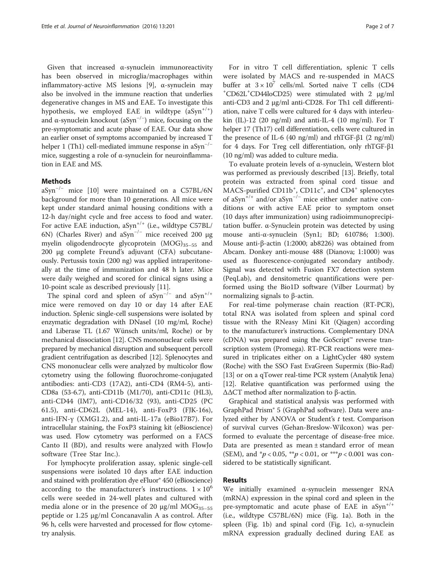Given that increased α-synuclein immunoreactivity has been observed in microglia/macrophages within inflammatory-active MS lesions [\[9\]](#page-5-0), α-synuclein may also be involved in the immune reaction that underlies degenerative changes in MS and EAE. To investigate this hypothesis, we employed EAE in wildtype  $(aSyn^{+/+})$ and α-synuclein knockout (aSyn<sup>-/-</sup>) mice, focusing on the pre-symptomatic and acute phase of EAE. Our data show an earlier onset of symptoms accompanied by increased T helper 1 (Th1) cell-mediated immune response in aSyn<sup>-/−</sup> mice, suggesting a role of  $\alpha$ -synuclein for neuroinflammation in EAE and MS.

## Methods

aSyn−/<sup>−</sup> mice [\[10](#page-6-0)] were maintained on a C57BL/6N background for more than 10 generations. All mice were kept under standard animal housing conditions with a 12-h day/night cycle and free access to food and water. For active EAE induction,  $aSyn^{+/+}$  (i.e., wildtype C57BL/ 6N) (Charles River) and aSyn<sup>-/-</sup> mice received 200 μg myelin oligodendrocyte glycoprotein (MOG)<sub>35-55</sub> and 200 μg complete Freund's adjuvant (CFA) subcutaneously. Pertussis toxin (200 ng) was applied intraperitoneally at the time of immunization and 48 h later. Mice were daily weighed and scored for clinical signs using a 10-point scale as described previously [[11\]](#page-6-0).

The spinal cord and spleen of aSyn<sup>-/-</sup> and aSyn<sup>+/+</sup> mice were removed on day 10 or day 14 after EAE induction. Splenic single-cell suspensions were isolated by enzymatic degradation with DNaseI (10 mg/ml, Roche) and Liberase TL (1.67 Wünsch units/ml, Roche) or by mechanical dissociation [\[12\]](#page-6-0). CNS mononuclear cells were prepared by mechanical disruption and subsequent percoll gradient centrifugation as described [[12](#page-6-0)]. Splenocytes and CNS mononuclear cells were analyzed by multicolor flow cytometry using the following fluorochrome-conjugated antibodies: anti-CD3 (17A2), anti-CD4 (RM4-5), anti-CD8a (53-6.7), anti-CD11b (M1/70), anti-CD11c (HL3), anti-CD44 (IM7), anti-CD16/32 (93), anti-CD25 (PC 61.5), anti-CD62L (MEL-14), anti-FoxP3 (FJK-16s), anti-IFN-γ (XMG1.2), and anti-IL-17a (eBio17B7). For intracellular staining, the FoxP3 staining kit (eBioscience) was used. Flow cytometry was performed on a FACS Canto II (BD), and results were analyzed with FlowJo software (Tree Star Inc.).

For lymphocyte proliferation assay, splenic single-cell suspensions were isolated 10 days after EAE induction and stained with proliferation dye eFluor® 450 (eBioscience) according to the manufacturer's instructions.  $1 \times 10^6$ cells were seeded in 24-well plates and cultured with media alone or in the presence of 20  $\mu$ g/ml MOG<sub>35–55</sub> peptide or 1.25 μg/ml Concanavalin A as control. After 96 h, cells were harvested and processed for flow cytometry analysis.

For in vitro T cell differentiation, splenic T cells were isolated by MACS and re-suspended in MACS buffer at  $3 \times 10^7$  cells/ml. Sorted naive T cells (CD4 CD62L+ CD44loCD25) were stimulated with 2 μg/ml anti-CD3 and 2 μg/ml anti-CD28. For Th1 cell differentiation, naive T cells were cultured for 4 days with interleukin (IL)-12 (20 ng/ml) and anti-IL-4 (10 mg/ml). For T helper 17 (Th17) cell differentiation, cells were cultured in the presence of IL-6 (40 ng/ml) and rhTGF- $\beta$ 1 (2 ng/ml) for 4 days. For Treg cell differentiation, only rhTGF-β1 (10 ng/ml) was added to culture media.

To evaluate protein levels of α-synuclein, Western blot was performed as previously described [\[13](#page-6-0)]. Briefly, total protein was extracted from spinal cord tissue and MACS-purified CD11b<sup>+</sup>, CD11c<sup>+</sup>, and CD4<sup>+</sup> splenocytes of aSyn+/+ and/or aSyn−/<sup>−</sup> mice either under native conditions or with active EAE prior to symptom onset (10 days after immunization) using radioimmunoprecipitation buffer. α-Synuclein protein was detected by using mouse anti-α-synuclein (Syn1; BD; 610786; 1:300). Mouse anti-β-actin (1:2000; ab8226) was obtained from Abcam. Donkey anti-mouse 488 (Dianova; 1:1000) was used as fluorescence-conjugated secondary antibody. Signal was detected with Fusion FX7 detection system (PeqLab), and densitometric quantifications were performed using the Bio1D software (Vilber Lourmat) by normalizing signals to β-actin.

For real-time polymerase chain reaction (RT-PCR), total RNA was isolated from spleen and spinal cord tissue with the RNeasy Mini Kit (Qiagen) according to the manufacturer's instructions. Complementary DNA (cDNA) was prepared using the GoScript™ reverse transcription system (Promega). RT-PCR reactions were measured in triplicates either on a LightCycler 480 system (Roche) with the SSO Fast EvaGreen Supermix (Bio-Rad) [[13](#page-6-0)] or on a qTower real-time PCR system (Analytik Jena) [[12](#page-6-0)]. Relative quantification was performed using the ΔΔCT method after normalization to β-actin.

Graphical and statistical analysis was performed with GraphPad Prism® 5 (GraphPad software). Data were analyzed either by ANOVA or Student's  $t$  test. Comparison of survival curves (Gehan-Breslow-Wilcoxon) was performed to evaluate the percentage of disease-free mice. Data are presented as mean ± standard error of mean (SEM), and  ${}^*p$  < 0.05,  ${}^*{}^*p$  < 0.01, or  ${}^*{}^*{}^*p$  < 0.001 was considered to be statistically significant.

### Results

We initially examined α-synuclein messenger RNA (mRNA) expression in the spinal cord and spleen in the pre-symptomatic and acute phase of EAE in  $aSym^{+/+}$ (i.e., wildtype C57BL/6N) mice (Fig. [1a\)](#page-2-0). Both in the spleen (Fig. [1b](#page-2-0)) and spinal cord (Fig. [1c](#page-2-0)),  $α$ -synuclein mRNA expression gradually declined during EAE as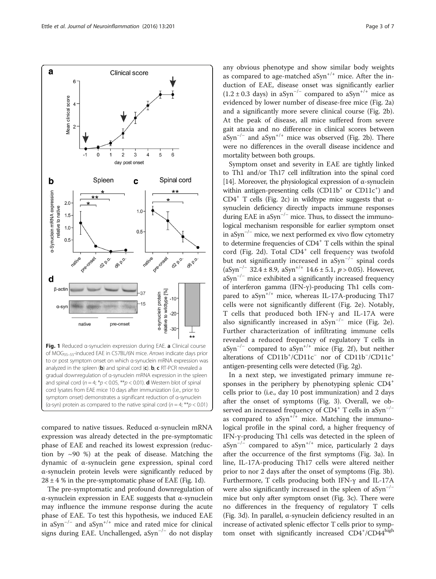compared to native tissues. Reduced α-synuclein mRNA expression was already detected in the pre-symptomatic phase of EAE and reached its lowest expression (reduction by ~90 %) at the peak of disease. Matching the dynamic of α-synuclein gene expression, spinal cord α-synuclein protein levels were significantly reduced by  $28 \pm 4$  % in the pre-symptomatic phase of EAE (Fig. 1d).

The pre-symptomatic and profound downregulation of α-synuclein expression in EAE suggests that α-synuclein may influence the immune response during the acute phase of EAE. To test this hypothesis, we induced EAE in aSyn−/<sup>−</sup> and aSyn+/+ mice and rated mice for clinical signs during EAE. Unchallenged, aSyn−/<sup>−</sup> do not display

any obvious phenotype and show similar body weights as compared to age-matched  $aSym^{+/+}$  mice. After the induction of EAE, disease onset was significantly earlier  $(1.2 \pm 0.3$  days) in aSyn<sup>-/-</sup> compared to aSyn<sup>+/+</sup> mice as evidenced by lower number of disease-free mice (Fig. [2a](#page-3-0)) and a significantly more severe clinical course (Fig. [2b](#page-3-0)). At the peak of disease, all mice suffered from severe gait ataxia and no difference in clinical scores between aSyn<sup>-/-</sup> and aSyn<sup>+/+</sup> mice was observed (Fig. [2b](#page-3-0)). There were no differences in the overall disease incidence and mortality between both groups.

Symptom onset and severity in EAE are tightly linked to Th1 and/or Th17 cell infiltration into the spinal cord [[14](#page-6-0)]. Moreover, the physiological expression of  $\alpha$ -synuclein within antigen-presenting cells (CD11b<sup>+</sup> or CD11c<sup>+</sup>) and CD4<sup>+</sup> T cells (Fig. [2c\)](#page-3-0) in wildtype mice suggests that  $\alpha$ synuclein deficiency directly impacts immune responses during EAE in aSyn−/<sup>−</sup> mice. Thus, to dissect the immunological mechanism responsible for earlier symptom onset in aSyn−/<sup>−</sup> mice, we next performed ex vivo flow cytometry to determine frequencies of CD4<sup>+</sup> T cells within the spinal cord (Fig. [2d](#page-3-0)). Total CD4<sup>+</sup> cell frequency was twofold but not significantly increased in aSyn<sup>- $/−$ </sup> spinal cords (aSyn<sup>-/-</sup> 32.4 ± 8.9, aSyn<sup>+/+</sup> 14.6 ± 5.1, p > 0.05). However,  $aSyn^{-/-}$  mice exhibited a significantly increased frequency of interferon gamma (IFN-γ)-producing Th1 cells compared to  $aSym^{+/+}$  mice, whereas IL-17A-producing Th17 cells were not significantly different (Fig. [2e\)](#page-3-0). Notably, T cells that produced both IFN-γ and IL-17A were also significantly increased in aSyn<sup>-/-</sup> mice (Fig. [2e](#page-3-0)). Further characterization of infiltrating immune cells revealed a reduced frequency of regulatory T cells in aSyn<sup>-/-</sup> compared to aSyn<sup>+/+</sup> mice (Fig. [2f](#page-3-0)), but neither alterations of CD11b<sup>+</sup>/CD11c<sup>-</sup> nor of CD11b<sup>-</sup>/CD11c<sup>+</sup> antigen-presenting cells were detected (Fig. [2g](#page-3-0)).

In a next step, we investigated primary immune responses in the periphery by phenotyping splenic CD4<sup>+</sup> cells prior to (i.e., day 10 post immunization) and 2 days after the onset of symptoms (Fig. [3\)](#page-4-0). Overall, we observed an increased frequency of  $CD4^+$  T cells in aSyn<sup>-/-</sup> as compared to  $aSym^{+/+}$  mice. Matching the immunological profile in the spinal cord, a higher frequency of IFN-γ-producing Th1 cells was detected in the spleen of aSyn<sup>-/-</sup> compared to aSyn<sup>+/+</sup> mice, particularly 2 days after the occurrence of the first symptoms (Fig. [3a](#page-4-0)). In line, IL-17A-producing Th17 cells were altered neither prior to nor 2 days after the onset of symptoms (Fig. [3b](#page-4-0)). Furthermore, T cells producing both IFN-γ and IL-17A were also significantly increased in the spleen of aSyn<sup>-/-</sup> mice but only after symptom onset (Fig. [3c](#page-4-0)). There were no differences in the frequency of regulatory T cells (Fig. [3d](#page-4-0)). In parallel, α-synuclein deficiency resulted in an increase of activated splenic effector T cells prior to symptom onset with significantly increased CD4+/CD44high

<span id="page-2-0"></span>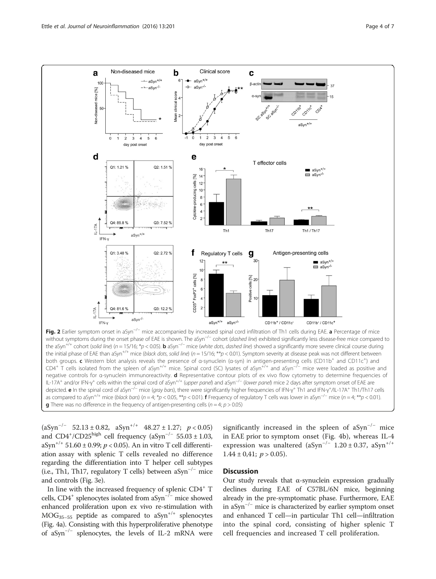<span id="page-3-0"></span>

the initial phase of EAE than aSyn<sup>+/+</sup> mice (black dots, solid line) (n = 15/16; \*\*p < 0.01). Symptom severity at disease peak was not different between both groups. c Western blot analysis reveals the presence of α-synuclein (α-syn) in antigen-presenting cells (CD11b<sup>+</sup> and CD11c<sup>+</sup>) and CD4<sup>+</sup> T cells isolated from the spleen of aSyn+/+ mice. Spinal cord (SC) lysates of aSyn+/+ and aSyn−/<sup>−</sup> mice were loaded as positive and negative controls for α-synuclein immunoreactivity. d Representative contour plots of ex vivo flow cytometry to determine frequencies of IL-17A<sup>+</sup> and/or IFN-γ<sup>+</sup> cells within the spinal cord of aSyn<sup>+/+</sup> (upper panel) and aSyn<sup>-/−</sup> (lower panel) mice 2 days after symptom onset of EAE are depicted. e In the spinal cord of aSyn<sup>-/−</sup> mice (gray bars), there were significantly higher frequencies of IFN-γ<sup>+</sup> Th1 and IFN-γ<sup>+</sup>/IL-17A<sup>+</sup> Th1/Th17 cells as compared to aSyn<sup>+/+</sup> mice (black bars) (n = 4; \*p < 0.05, \*\*p < 0.01). **f** Frequency of regulatory T cells was lower in aSyn<sup>-/-</sup> mice (n = 4; \*\*p < 0.01). **g** There was no difference in the frequency of antigen-presenting cells ( $n = 4$ ;  $p > 0.05$ )

 $(aSyn^{-/-}$  52.13 ± 0.82,  $aSyn^{+/+}$  48.27 ± 1.27;  $p < 0.05$ ) and  $CD4^{+}/CD25^{high}$  cell frequency (aSyn<sup>-/-</sup> 55.03 ± 1.03, aSyn<sup>+/+</sup> 51.60 ± 0.99;  $p < 0.05$ ). An in vitro T cell differentiation assay with splenic T cells revealed no difference regarding the differentiation into T helper cell subtypes (i.e., Th1, Th17, regulatory T cells) between aSyn<sup>-/-</sup> mice and controls (Fig. [3e](#page-4-0)).

In line with the increased frequency of splenic CD4<sup>+</sup> T cells, CD4<sup>+</sup> splenocytes isolated from aSyn<sup>-/−</sup> mice showed enhanced proliferation upon ex vivo re-stimulation with  $MOG_{35-55}$  peptide as compared to aSyn<sup>+/+</sup> splenocytes (Fig. [4a\)](#page-4-0). Consisting with this hyperproliferative phenotype of aSyn−/<sup>−</sup> splenocytes, the levels of IL-2 mRNA were significantly increased in the spleen of  $aSym^{-/-}$  mice in EAE prior to symptom onset (Fig. [4b](#page-4-0)), whereas IL-4 expression was unaltered (aSyn<sup>-/-</sup> 1.20 ± 0.37, aSyn<sup>+/+</sup>  $1.44 \pm 0.41$ ;  $p > 0.05$ ).

## **Discussion**

Our study reveals that α-synuclein expression gradually declines during EAE of C57BL/6N mice, beginning already in the pre-symptomatic phase. Furthermore, EAE in aSyn−/<sup>−</sup> mice is characterized by earlier symptom onset and enhanced T cell—in particular Th1 cell—infiltration into the spinal cord, consisting of higher splenic T cell frequencies and increased T cell proliferation.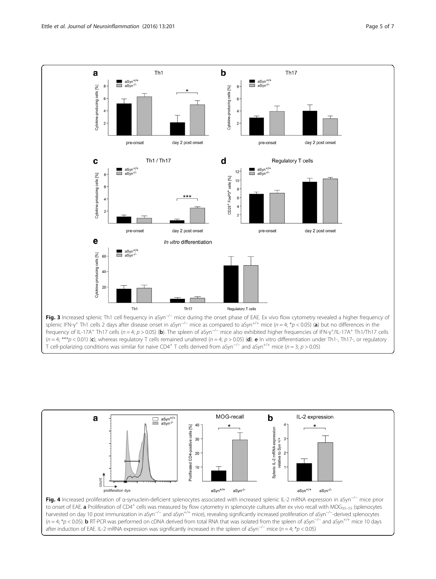<span id="page-4-0"></span>





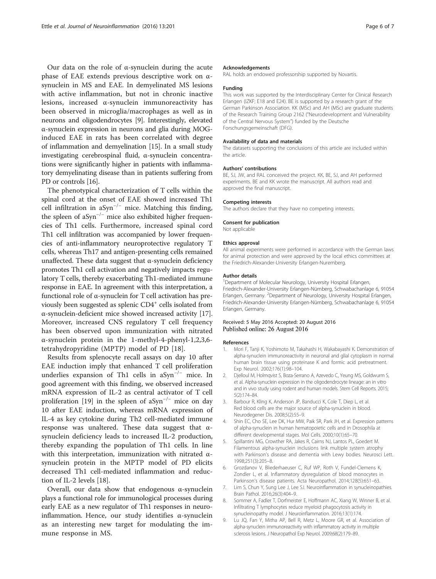<span id="page-5-0"></span>Our data on the role of α-synuclein during the acute phase of EAE extends previous descriptive work on αsynuclein in MS and EAE. In demyelinated MS lesions with active inflammation, but not in chronic inactive lesions, increased α-synuclein immunoreactivity has been observed in microglia/macrophages as well as in neurons and oligodendrocytes [9]. Interestingly, elevated α-synuclein expression in neurons and glia during MOGinduced EAE in rats has been correlated with degree of inflammation and demyelination [\[15](#page-6-0)]. In a small study investigating cerebrospinal fluid, α-synuclein concentrations were significantly higher in patients with inflammatory demyelinating disease than in patients suffering from PD or controls [\[16\]](#page-6-0).

The phenotypical characterization of T cells within the spinal cord at the onset of EAE showed increased Th1 cell infiltration in aSyn−/<sup>−</sup> mice. Matching this finding, the spleen of aSyn−/<sup>−</sup> mice also exhibited higher frequencies of Th1 cells. Furthermore, increased spinal cord Th1 cell infiltration was accompanied by lower frequencies of anti-inflammatory neuroprotective regulatory T cells, whereas Th17 and antigen-presenting cells remained unaffected. These data suggest that  $\alpha$ -synuclein deficiency promotes Th1 cell activation and negatively impacts regulatory T cells, thereby exacerbating Th1-mediated immune response in EAE. In agreement with this interpretation, a functional role of α-synuclein for T cell activation has previously been suggested as splenic CD4<sup>+</sup> cells isolated from α-synuclein-deficient mice showed increased activity [[17](#page-6-0)]. Moreover, increased CNS regulatory T cell frequency has been observed upon immunization with nitrated α-synuclein protein in the 1-methyl-4-phenyl-1,2,3,6 tetrahydropyridine (MPTP) model of PD [[18\]](#page-6-0).

Results from splenocyte recall assays on day 10 after EAE induction imply that enhanced T cell proliferation underlies expansion of Th1 cells in aSyn−/<sup>−</sup> mice. In good agreement with this finding, we observed increased mRNA expression of IL-2 as central activator of T cell proliferation [[19\]](#page-6-0) in the spleen of aSyn<sup>-/−</sup> mice on day 10 after EAE induction, whereas mRNA expression of IL-4 as key cytokine during Th2 cell-mediated immune response was unaltered. These data suggest that αsynuclein deficiency leads to increased IL-2 production, thereby expanding the population of Th1 cells. In line with this interpretation, immunization with nitrated αsynuclein protein in the MPTP model of PD elicits decreased Th1 cell-mediated inflammation and reduction of IL-2 levels [\[18](#page-6-0)].

Overall, our data show that endogenous α-synuclein plays a functional role for immunological processes during early EAE as a new regulator of Th1 responses in neuroinflammation. Hence, our study identifies α-synuclein as an interesting new target for modulating the immune response in MS.

#### Acknowledgements

RAL holds an endowed professorship supported by Novartis.

#### Funding

This work was supported by the Interdisciplinary Center for Clinical Research Erlangen (IZKF; E18 and E24). BE is supported by a research grant of the German Parkinson Association. KK (MSc) and AH (MSc) are graduate students of the Research Training Group 2162 ("Neurodevelopment and Vulnerability of the Central Nervous System") funded by the Deutsche Forschungsgemeinschaft (DFG).

#### Availability of data and materials

The datasets supporting the conclusions of this article are included within the article.

#### Authors' contributions

BE, SJ, JW, and RAL conceived the project. KK, BE, SJ, and AH performed experiments. BE and KK wrote the manuscript. All authors read and approved the final manuscript.

#### Competing interests

The authors declare that they have no competing interests.

#### Consent for publication

Not applicable

#### Ethics approval

All animal experiments were performed in accordance with the German laws for animal protection and were approved by the local ethics committees at the Friedrich-Alexander-University Erlangen-Nuremberg.

#### Author details

<sup>1</sup> Department of Molecular Neurology, University Hospital Erlangen, Friedrich-Alexander-University Erlangen-Nürnberg, Schwabachanlage 6, 91054 Erlangen, Germany. <sup>2</sup>Department of Neurology, University Hospital Erlangen Friedrich-Alexander-University Erlangen-Nürnberg, Schwabachanlage 6, 91054 Erlangen, Germany.

#### Received: 5 May 2016 Accepted: 20 August 2016 Published online: 26 August 2016

#### References

- 1. Mori F, Tanji K, Yoshimoto M, Takahashi H, Wakabayashi K. Demonstration of alpha-synuclein immunoreactivity in neuronal and glial cytoplasm in normal human brain tissue using proteinase K and formic acid pretreatment. Exp Neurol. 2002;176(1):98–104.
- 2. Djelloul M, Holmqvist S, Boza-Serrano A, Azevedo C, Yeung MS, Goldwurm S, et al. Alpha-synuclein expression in the oligodendrocyte lineage: an in vitro and in vivo study using rodent and human models. Stem Cell Reports. 2015; 5(2):174–84.
- 3. Barbour R, Kling K, Anderson JP, Banducci K, Cole T, Diep L, et al. Red blood cells are the major source of alpha-synuclein in blood. Neurodegener Dis. 2008;5(2):55–9.
- 4. Shin EC, Cho SE, Lee DK, Hur MW, Paik SR, Park JH, et al. Expression patterns of alpha-synuclein in human hematopoietic cells and in Drosophila at different developmental stages. Mol Cells. 2000;10(1):65–70.
- 5. Spillantini MG, Crowther RA, Jakes R, Cairns NJ, Lantos PL, Goedert M. Filamentous alpha-synuclein inclusions link multiple system atrophy with Parkinson's disease and dementia with Lewy bodies. Neurosci Lett. 1998;251(3):205–8.
- 6. Grozdanov V, Bliederhaeuser C, Ruf WP, Roth V, Fundel-Clemens K, Zondler L, et al. Inflammatory dysregulation of blood monocytes in Parkinson's disease patients. Acta Neuropathol. 2014;128(5):651–63.
- 7. Lim S, Chun Y, Sung Lee J, Lee SJ. Neuroinflammation in synucleinopathies. Brain Pathol. 2016;26(3):404–9.
- 8. Sommer A, Fadler T, Dorfmeister E, Hoffmann AC, Xiang W, Winner B, et al. Infiltrating T lymphocytes reduce myeloid phagocytosis activity in synucleinopathy model. J Neuroinflammation. 2016;13(1):174.
- 9. Lu JQ, Fan Y, Mitha AP, Bell R, Metz L, Moore GR, et al. Association of alpha-synuclein immunoreactivity with inflammatory activity in multiple sclerosis lesions. J Neuropathol Exp Neurol. 2009;68(2):179–89.